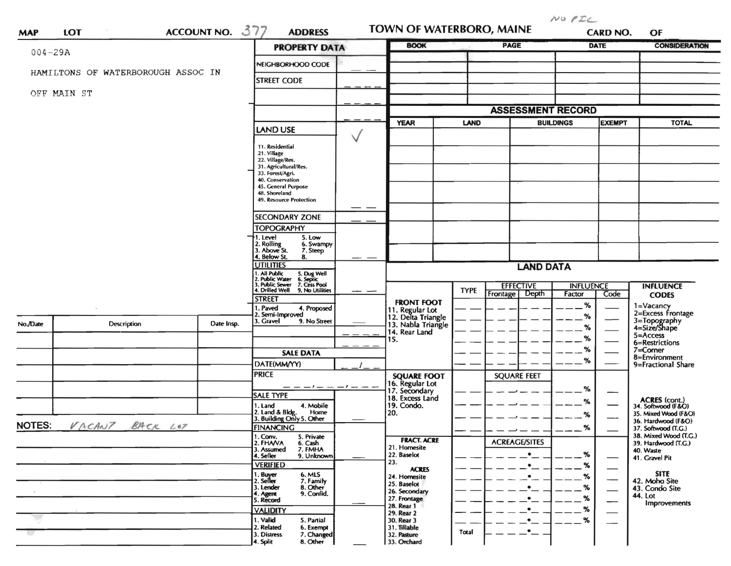$NU$   $PLC$ TOWN OF WATERBORO, MAINE ACCOUNT NO. 377 **ADDRESS** 1.OT **CARD NO. MAP** OF **BOOK PAGE CONSIDERATION DATE PROPERTY DATA**  $004 - 29A$ NEIGHBORHOOD CODE HAMILTONS OF WATERBOROUGH ASSOC IN **STREET CODE** OFF MAIN ST **ASSESSMENT RECORD YEAR** LAND **BUILDINGS EXEMPT TOTAL LAND USE**  $\vee$ 11. Residential 21. Village<br>22. Village/Res. 31. Agricultural/Res.<br>33. Forest/Agri. 40. Conservation 45. General Purpose 48. Shoreland **49. Resource Protection SECONDARY ZONE TOPOGRAPHY** 1. Level 5. Low 2. Rolling<br>3. Above St. 6. Swampy 7. Steep 4. Below St. 8. **UTILITIES LAND DATA** 5. Dug Well<br>6. Septic<br>7. Cess Pool<br>9. No Utilities . All Public Public Water 3. Public Sewer<br>4. Drilled Well **EFFECTIVE INFLUENCE INFLUENCE TYPE** Depth Frontage Factor Code **CODES STREET FRONT FOOT**  $%$ 1=Vacancy 1. Paved 4. Proposed 11. Regular Lot<br>12. Delta Triangle 2=Excess Frontage Semi-Improved  $%$ 3=Topography<br>4=Size/Shape 3. Gravel 9. No Street No./Date Date Insp. 13. Nabla Triangle **Description**  $%$ 14. Rear Land  $5 =$ Access  $%$ 15. 6=Restrictions  $%$ 7=Corner **SALE DATA** 8=Environment  $%$ DATE(MM/YY) 9=Fractional Share **PRICE SQUARE FOOT SOUARE FEET** 16. Regular Lot  $%$ 17. Secondary **SALE TYPE** 18. Excess Land ACRES (cont.)<br>34. Softwood (F&O)  $%$ 1. Land 4. Mobile 19. Condo. 2. Land & Bldg. Home<br>3. Building Only 5. Other Home 20. 35. Mixed Wood (F&O)  $%$ 36. Hardwood (F&O) BACK LOT **NOTES:** VACANT **FINANCING**  $%$ 37. Softwood (T.G.) 1. Conv. 38. Mixed Wood (T.G.) 5. Private **FRACT. ACRE ACREAGE/SITES** 2. FHANA 6. Cash<br>7. FMHA 39. Hardwood (T.G.) 21. Homesite 3. Assumed 40. Waste 22. Baselot  $%$ 4. Seller 9. Unknown 41. Gravel Pit 23. **VERIFIED**  $%$ **ACRES** . Buyer<br>2. Seller 6. MLS **SITE** 24. Homesite  $\%$  $\overline{\phantom{0}}$ 7. Family 42. Moho Site 25. Baselot 3. Lender 8. Other  $%$ 43. Condo Site  $\overline{\phantom{0}}$ 26. Secondary 4. Agent<br>5. Record 9. Confid. 44. Lot 27. Frontage  $%$ **Improvements** 28. Rear 1 **VALIDITY**  $%$ 29. Rear 2 1. Valid 5. Partial 30. Rear 3  $%$ 2. Related 6. Exempt 31. Tillable Total 3. Distress 7. Changed 32. Pasture 4. Split 8. Other 33. Orchard